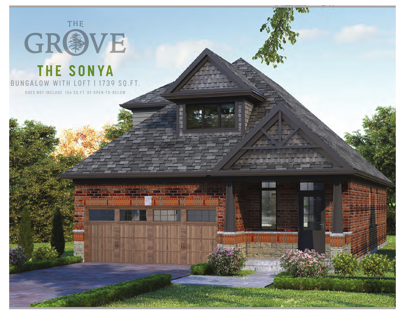

## **THE SONYA** BUNGALOW WITH LOFT | 1739 SQ.FT.

DOES NOT INCLUDE 156 SQ.FT. OF OPEN-TO-BELOW